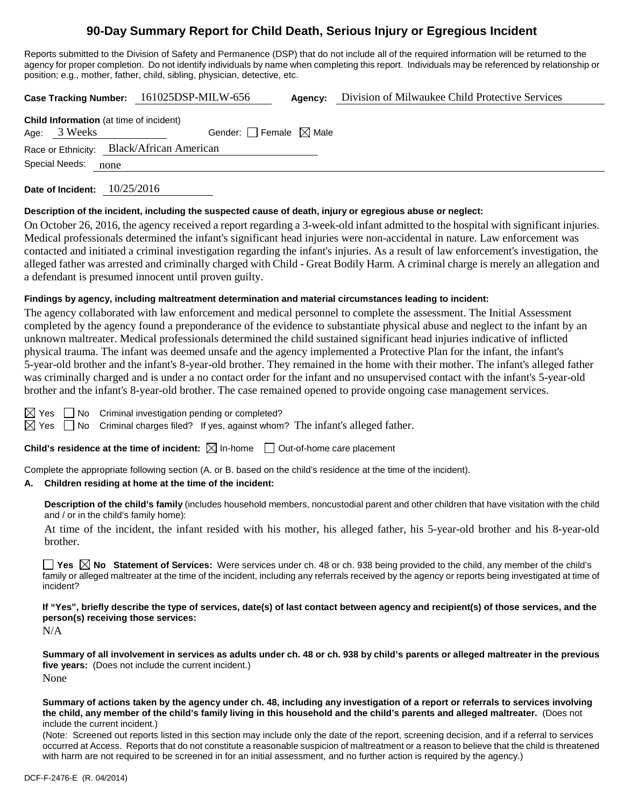# **90-Day Summary Report for Child Death, Serious Injury or Egregious Incident**

Reports submitted to the Division of Safety and Permanence (DSP) that do not include all of the required information will be returned to the agency for proper completion. Do not identify individuals by name when completing this report. Individuals may be referenced by relationship or position; e.g., mother, father, child, sibling, physician, detective, etc.

**Case Tracking Number:** 161025DSP-MILW-656 **Agency:** Division of Milwaukee Child Protective Services **Child Information** (at time of incident) Age:  $3$  Weeks Gender: Female  $\boxtimes$  Male Race or Ethnicity: Black/African American

Special Needs: none

**Date of Incident:** 10/25/2016

#### **Description of the incident, including the suspected cause of death, injury or egregious abuse or neglect:**

On October 26, 2016, the agency received a report regarding a 3-week-old infant admitted to the hospital with significant injuries. Medical professionals determined the infant's significant head injuries were non-accidental in nature. Law enforcement was contacted and initiated a criminal investigation regarding the infant's injuries. As a result of law enforcement's investigation, the alleged father was arrested and criminally charged with Child - Great Bodily Harm. A criminal charge is merely an allegation and a defendant is presumed innocent until proven guilty.

### **Findings by agency, including maltreatment determination and material circumstances leading to incident:**

The agency collaborated with law enforcement and medical personnel to complete the assessment. The Initial Assessment completed by the agency found a preponderance of the evidence to substantiate physical abuse and neglect to the infant by an unknown maltreater. Medical professionals determined the child sustained significant head injuries indicative of inflicted physical trauma. The infant was deemed unsafe and the agency implemented a Protective Plan for the infant, the infant's 5-year-old brother and the infant's 8-year-old brother. They remained in the home with their mother. The infant's alleged father was criminally charged and is under a no contact order for the infant and no unsupervised contact with the infant's 5-year-old brother and the infant's 8-year-old brother. The case remained opened to provide ongoing case management services.

 $\boxtimes$  Yes  $\Box$  No Criminal investigation pending or completed?

 $\boxtimes$  Yes  $\Box$  No Criminal charges filed? If yes, against whom? The infant's alleged father.

**Child's residence at the time of incident:**  $\boxtimes$  In-home  $\Box$  Out-of-home care placement

Complete the appropriate following section (A. or B. based on the child's residence at the time of the incident).

### **A. Children residing at home at the time of the incident:**

**Description of the child's family** (includes household members, noncustodial parent and other children that have visitation with the child and / or in the child's family home):

At time of the incident, the infant resided with his mother, his alleged father, his 5-year-old brother and his 8-year-old brother.

■ Yes **No** Statement of Services: Were services under ch. 48 or ch. 938 being provided to the child, any member of the child's family or alleged maltreater at the time of the incident, including any referrals received by the agency or reports being investigated at time of incident?

**If "Yes", briefly describe the type of services, date(s) of last contact between agency and recipient(s) of those services, and the person(s) receiving those services:**

N/A

**Summary of all involvement in services as adults under ch. 48 or ch. 938 by child's parents or alleged maltreater in the previous five years:** (Does not include the current incident.) None

**Summary of actions taken by the agency under ch. 48, including any investigation of a report or referrals to services involving the child, any member of the child's family living in this household and the child's parents and alleged maltreater.** (Does not include the current incident.)

(Note: Screened out reports listed in this section may include only the date of the report, screening decision, and if a referral to services occurred at Access. Reports that do not constitute a reasonable suspicion of maltreatment or a reason to believe that the child is threatened with harm are not required to be screened in for an initial assessment, and no further action is required by the agency.)